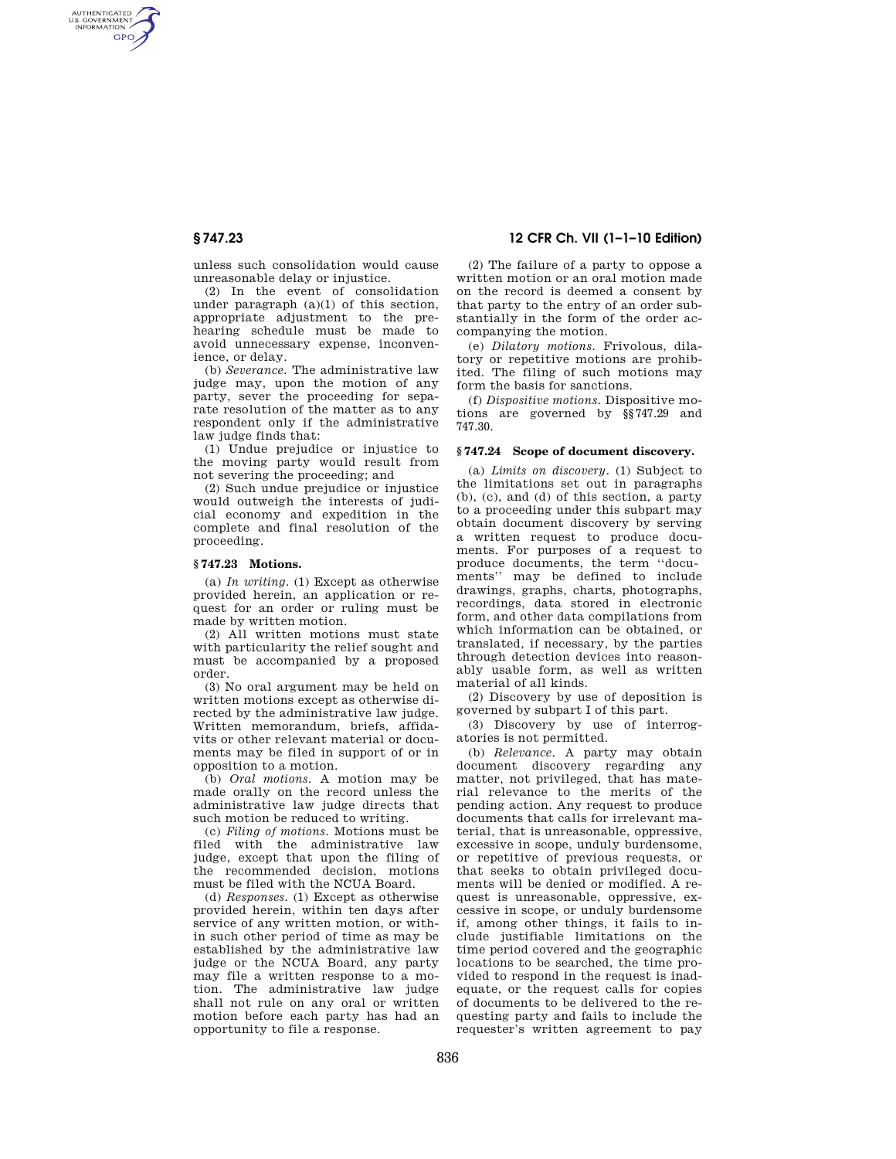# **§ 747.23 12 CFR Ch. VII (1–1–10 Edition)**

AUTHENTICATED<br>U.S. GOVERNMENT<br>INFORMATION **GPO** 

> unless such consolidation would cause unreasonable delay or injustice.

> (2) In the event of consolidation under paragraph (a)(1) of this section, appropriate adjustment to the prehearing schedule must be made to avoid unnecessary expense, inconvenience, or delay.

> (b) *Severance.* The administrative law judge may, upon the motion of any party, sever the proceeding for separate resolution of the matter as to any respondent only if the administrative law judge finds that:

(1) Undue prejudice or injustice to the moving party would result from not severing the proceeding; and

(2) Such undue prejudice or injustice would outweigh the interests of judicial economy and expedition in the complete and final resolution of the proceeding.

## **§ 747.23 Motions.**

(a) *In writing.* (1) Except as otherwise provided herein, an application or request for an order or ruling must be made by written motion.

(2) All written motions must state with particularity the relief sought and must be accompanied by a proposed order.

(3) No oral argument may be held on written motions except as otherwise directed by the administrative law judge. Written memorandum, briefs, affidavits or other relevant material or documents may be filed in support of or in opposition to a motion.

(b) *Oral motions.* A motion may be made orally on the record unless the administrative law judge directs that such motion be reduced to writing.

(c) *Filing of motions.* Motions must be filed with the administrative law judge, except that upon the filing of the recommended decision, motions must be filed with the NCUA Board.

(d) *Responses.* (1) Except as otherwise provided herein, within ten days after service of any written motion, or within such other period of time as may be established by the administrative law judge or the NCUA Board, any party may file a written response to a motion. The administrative law judge shall not rule on any oral or written motion before each party has had an opportunity to file a response.

(2) The failure of a party to oppose a written motion or an oral motion made on the record is deemed a consent by that party to the entry of an order substantially in the form of the order accompanying the motion.

(e) *Dilatory motions.* Frivolous, dilatory or repetitive motions are prohibited. The filing of such motions may form the basis for sanctions.

(f) *Dispositive motions.* Dispositive motions are governed by §§747.29 and 747.30.

### **§ 747.24 Scope of document discovery.**

(a) *Limits on discovery.* (1) Subject to the limitations set out in paragraphs (b), (c), and (d) of this section, a party to a proceeding under this subpart may obtain document discovery by serving a written request to produce documents. For purposes of a request to produce documents, the term ''documents'' may be defined to include drawings, graphs, charts, photographs, recordings, data stored in electronic form, and other data compilations from which information can be obtained, or translated, if necessary, by the parties through detection devices into reasonably usable form, as well as written material of all kinds.

(2) Discovery by use of deposition is governed by subpart I of this part.

(3) Discovery by use of interrogatories is not permitted.

(b) *Relevance.* A party may obtain document discovery regarding any matter, not privileged, that has material relevance to the merits of the pending action. Any request to produce documents that calls for irrelevant material, that is unreasonable, oppressive, excessive in scope, unduly burdensome, or repetitive of previous requests, or that seeks to obtain privileged documents will be denied or modified. A request is unreasonable, oppressive, excessive in scope, or unduly burdensome if, among other things, it fails to include justifiable limitations on the time period covered and the geographic locations to be searched, the time provided to respond in the request is inadequate, or the request calls for copies of documents to be delivered to the requesting party and fails to include the requester's written agreement to pay